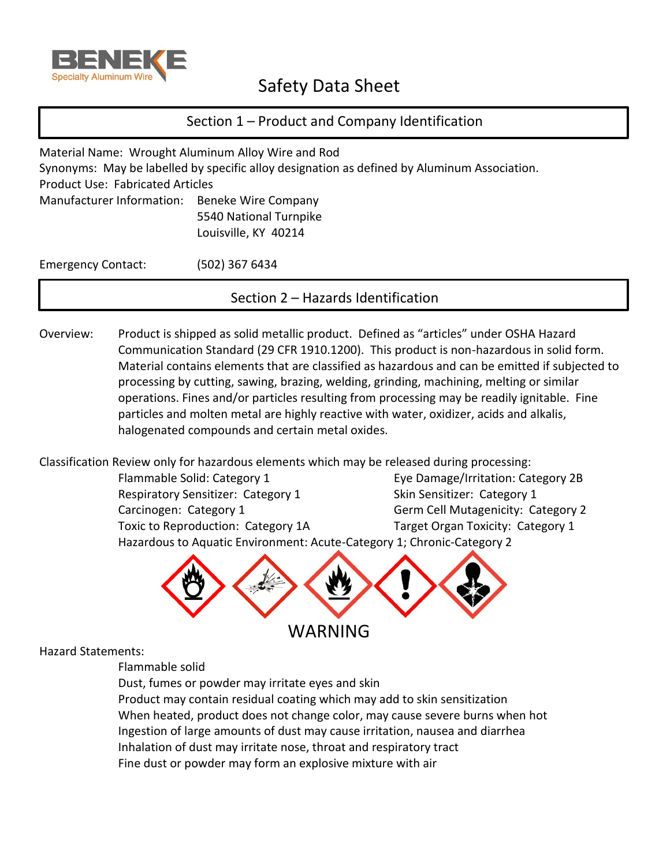

# Safety Data Sheet

## Section 1 – Product and Company Identification

Material Name: Wrought Aluminum Alloy Wire and Rod Synonyms: May be labelled by specific alloy designation as defined by Aluminum Association. Product Use: Fabricated Articles Manufacturer Information: Beneke Wire Company 5540 National Turnpike Louisville, KY 40214

Emergency Contact: (502) 367 6434

Section 2 – Hazards Identification

Overview: Product is shipped as solid metallic product. Defined as "articles" under OSHA Hazard Communication Standard (29 CFR 1910.1200). This product is non-hazardous in solid form. Material contains elements that are classified as hazardous and can be emitted if subjected to processing by cutting, sawing, brazing, welding, grinding, machining, melting or similar operations. Fines and/or particles resulting from processing may be readily ignitable. Fine particles and molten metal are highly reactive with water, oxidizer, acids and alkalis, halogenated compounds and certain metal oxides.

Classification Review only for hazardous elements which may be released during processing:

Flammable Solid: Category 1 **Eye Damage/Irritation: Category 2B** Respiratory Sensitizer: Category 1 Skin Sensitizer: Category 1 Carcinogen: Category 1 Germ Cell Mutagenicity: Category 2 Toxic to Reproduction: Category 1A Target Organ Toxicity: Category 1 Hazardous to Aquatic Environment: Acute-Category 1; Chronic-Category 2



Hazard Statements:

Flammable solid

Dust, fumes or powder may irritate eyes and skin

Product may contain residual coating which may add to skin sensitization When heated, product does not change color, may cause severe burns when hot Ingestion of large amounts of dust may cause irritation, nausea and diarrhea Inhalation of dust may irritate nose, throat and respiratory tract Fine dust or powder may form an explosive mixture with air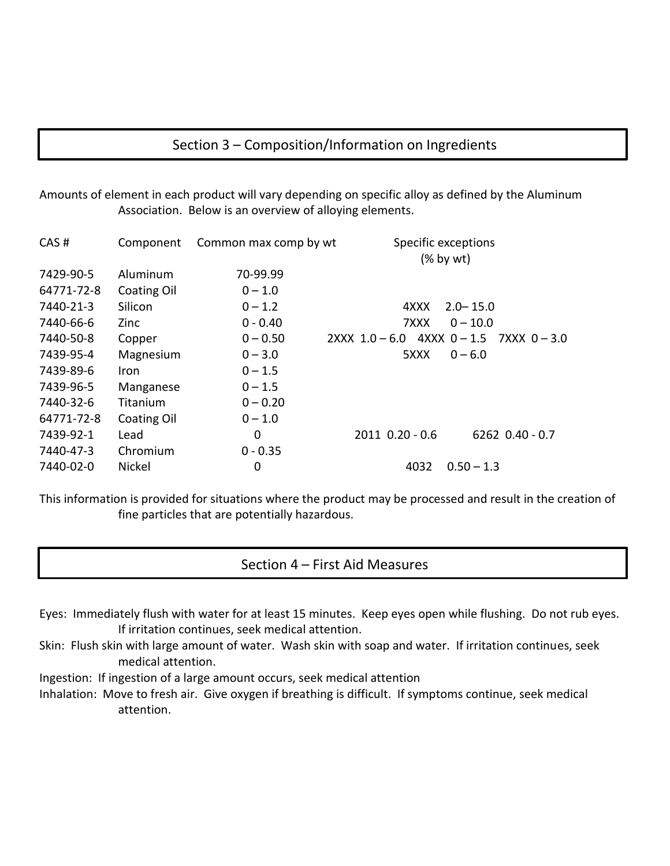## Section 3 – Composition/Information on Ingredients

Amounts of element in each product will vary depending on specific alloy as defined by the Aluminum Association. Below is an overview of alloying elements.

| CAS#       | Component   | Common max comp by wt | Specific exceptions           | $(% \mathbf{A})$ (% by wt) |
|------------|-------------|-----------------------|-------------------------------|----------------------------|
| 7429-90-5  | Aluminum    | 70-99.99              |                               |                            |
| 64771-72-8 | Coating Oil | $0 - 1.0$             |                               |                            |
| 7440-21-3  | Silicon     | $0 - 1.2$             | 4XXX                          | $2.0 - 15.0$               |
| 7440-66-6  | Zinc        | $0 - 0.40$            | 7XXX                          | $0 - 10.0$                 |
| 7440-50-8  | Copper      | $0 - 0.50$            | $2XXX$ 1.0 - 6.0 4XXX 0 - 1.5 | 7XXX 0-3.0                 |
| 7439-95-4  | Magnesium   | $0 - 3.0$             | 5XXX                          | $0 - 6.0$                  |
| 7439-89-6  | <b>Iron</b> | $0 - 1.5$             |                               |                            |
| 7439-96-5  | Manganese   | $0 - 1.5$             |                               |                            |
| 7440-32-6  | Titanium    | $0 - 0.20$            |                               |                            |
| 64771-72-8 | Coating Oil | $0 - 1.0$             |                               |                            |
| 7439-92-1  | Lead        | 0                     | 2011 0.20 - 0.6               | $6262$ $0.40 - 0.7$        |
| 7440-47-3  | Chromium    | $0 - 0.35$            |                               |                            |
| 7440-02-0  | Nickel      | 0                     | 4032                          | $0.50 - 1.3$               |

This information is provided for situations where the product may be processed and result in the creation of fine particles that are potentially hazardous.

### Section 4 – First Aid Measures

- Eyes: Immediately flush with water for at least 15 minutes. Keep eyes open while flushing. Do not rub eyes. If irritation continues, seek medical attention.
- Skin: Flush skin with large amount of water. Wash skin with soap and water. If irritation continues, seek medical attention.
- Ingestion: If ingestion of a large amount occurs, seek medical attention
- Inhalation: Move to fresh air. Give oxygen if breathing is difficult. If symptoms continue, seek medical attention.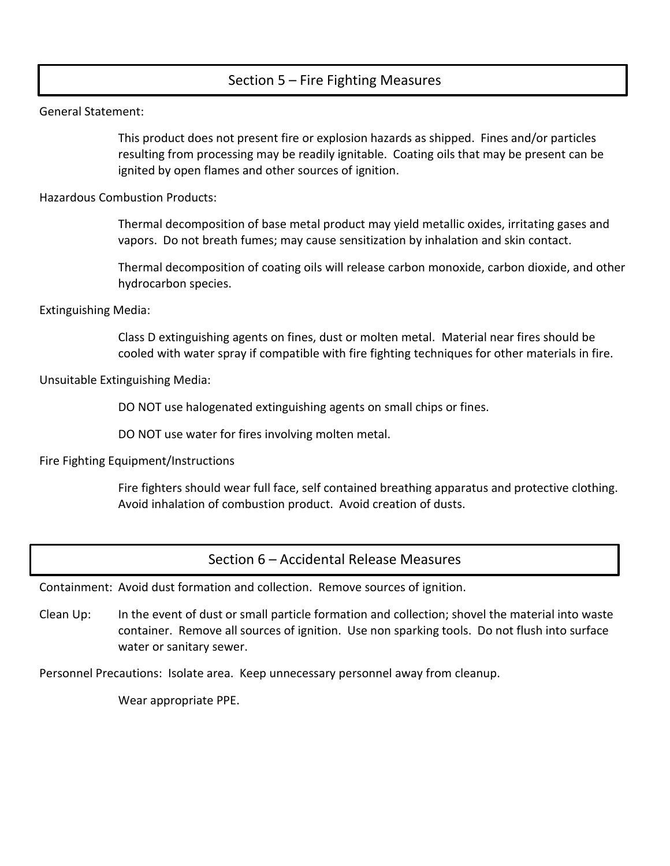## Section 5 – Fire Fighting Measures

General Statement:

This product does not present fire or explosion hazards as shipped. Fines and/or particles resulting from processing may be readily ignitable. Coating oils that may be present can be ignited by open flames and other sources of ignition.

Hazardous Combustion Products:

Thermal decomposition of base metal product may yield metallic oxides, irritating gases and vapors. Do not breath fumes; may cause sensitization by inhalation and skin contact.

Thermal decomposition of coating oils will release carbon monoxide, carbon dioxide, and other hydrocarbon species.

Extinguishing Media:

Class D extinguishing agents on fines, dust or molten metal. Material near fires should be cooled with water spray if compatible with fire fighting techniques for other materials in fire.

Unsuitable Extinguishing Media:

DO NOT use halogenated extinguishing agents on small chips or fines.

DO NOT use water for fires involving molten metal.

Fire Fighting Equipment/Instructions

Fire fighters should wear full face, self contained breathing apparatus and protective clothing. Avoid inhalation of combustion product. Avoid creation of dusts.

Section 6 – Accidental Release Measures

Containment: Avoid dust formation and collection. Remove sources of ignition.

Clean Up: In the event of dust or small particle formation and collection; shovel the material into waste container. Remove all sources of ignition. Use non sparking tools. Do not flush into surface water or sanitary sewer.

Personnel Precautions: Isolate area. Keep unnecessary personnel away from cleanup.

Wear appropriate PPE.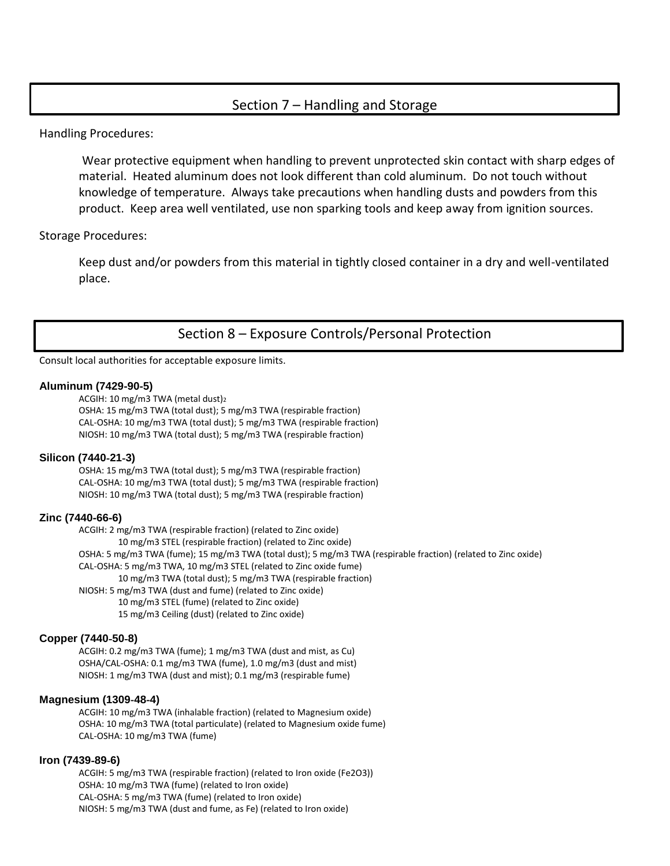### Section 7 – Handling and Storage

Handling Procedures:

Wear protective equipment when handling to prevent unprotected skin contact with sharp edges of material. Heated aluminum does not look different than cold aluminum. Do not touch without knowledge of temperature. Always take precautions when handling dusts and powders from this product. Keep area well ventilated, use non sparking tools and keep away from ignition sources.

Storage Procedures:

Keep dust and/or powders from this material in tightly closed container in a dry and well-ventilated place.

Section 8 – Exposure Controls/Personal Protection

Consult local authorities for acceptable exposure limits.

#### **Aluminum (7429**‐**90**‐**5)**

ACGIH: 10 mg/m3 TWA (metal dust)<sup>2</sup> OSHA: 15 mg/m3 TWA (total dust); 5 mg/m3 TWA (respirable fraction) CAL‐OSHA: 10 mg/m3 TWA (total dust); 5 mg/m3 TWA (respirable fraction) NIOSH: 10 mg/m3 TWA (total dust); 5 mg/m3 TWA (respirable fraction)

#### **Silicon (7440**‐**21**‐**3)**

OSHA: 15 mg/m3 TWA (total dust); 5 mg/m3 TWA (respirable fraction) CAL‐OSHA: 10 mg/m3 TWA (total dust); 5 mg/m3 TWA (respirable fraction) NIOSH: 10 mg/m3 TWA (total dust); 5 mg/m3 TWA (respirable fraction)

#### **Zinc (7440**‐**66**‐**6)**

ACGIH: 2 mg/m3 TWA (respirable fraction) (related to Zinc oxide) 10 mg/m3 STEL (respirable fraction) (related to Zinc oxide) OSHA: 5 mg/m3 TWA (fume); 15 mg/m3 TWA (total dust); 5 mg/m3 TWA (respirable fraction) (related to Zinc oxide) CAL‐OSHA: 5 mg/m3 TWA, 10 mg/m3 STEL (related to Zinc oxide fume) 10 mg/m3 TWA (total dust); 5 mg/m3 TWA (respirable fraction) NIOSH: 5 mg/m3 TWA (dust and fume) (related to Zinc oxide) 10 mg/m3 STEL (fume) (related to Zinc oxide) 15 mg/m3 Ceiling (dust) (related to Zinc oxide)

#### **Copper (7440**‐**50**‐**8)**

ACGIH: 0.2 mg/m3 TWA (fume); 1 mg/m3 TWA (dust and mist, as Cu) OSHA/CAL‐OSHA: 0.1 mg/m3 TWA (fume), 1.0 mg/m3 (dust and mist) NIOSH: 1 mg/m3 TWA (dust and mist); 0.1 mg/m3 (respirable fume)

#### **Magnesium (1309**‐**48**‐**4)**

ACGIH: 10 mg/m3 TWA (inhalable fraction) (related to Magnesium oxide) OSHA: 10 mg/m3 TWA (total particulate) (related to Magnesium oxide fume) CAL‐OSHA: 10 mg/m3 TWA (fume)

#### **Iron (7439**‐**89**‐**6)**

ACGIH: 5 mg/m3 TWA (respirable fraction) (related to Iron oxide (Fe2O3)) OSHA: 10 mg/m3 TWA (fume) (related to Iron oxide) CAL‐OSHA: 5 mg/m3 TWA (fume) (related to Iron oxide) NIOSH: 5 mg/m3 TWA (dust and fume, as Fe) (related to Iron oxide)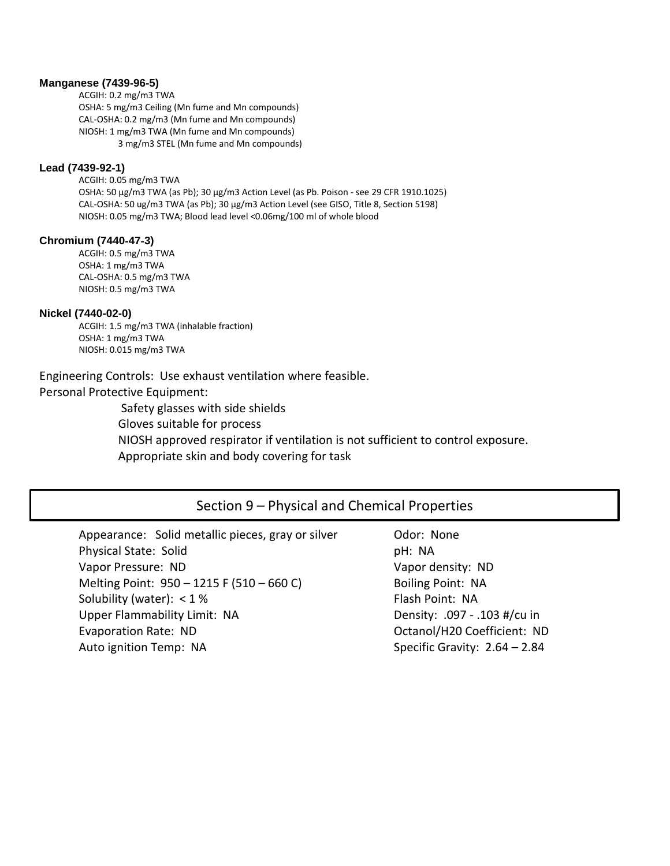#### **Manganese (7439**‐**96**‐**5)**

ACGIH: 0.2 mg/m3 TWA OSHA: 5 mg/m3 Ceiling (Mn fume and Mn compounds) CAL‐OSHA: 0.2 mg/m3 (Mn fume and Mn compounds) NIOSH: 1 mg/m3 TWA (Mn fume and Mn compounds) 3 mg/m3 STEL (Mn fume and Mn compounds)

#### **Lead (7439**‐**92**‐**1)**

ACGIH: 0.05 mg/m3 TWA OSHA: 50 μg/m3 TWA (as Pb); 30 μg/m3 Action Level (as Pb. Poison ‐ see 29 CFR 1910.1025) CAL‐OSHA: 50 ug/m3 TWA (as Pb); 30 μg/m3 Action Level (see GISO, Title 8, Section 5198) NIOSH: 0.05 mg/m3 TWA; Blood lead level <0.06mg/100 ml of whole blood

#### **Chromium (7440**‐**47**‐**3)**

ACGIH: 0.5 mg/m3 TWA OSHA: 1 mg/m3 TWA CAL‐OSHA: 0.5 mg/m3 TWA NIOSH: 0.5 mg/m3 TWA

#### **Nickel (7440-02-0)**

ACGIH: 1.5 mg/m3 TWA (inhalable fraction) OSHA: 1 mg/m3 TWA NIOSH: 0.015 mg/m3 TWA

Engineering Controls: Use exhaust ventilation where feasible. Personal Protective Equipment:

> Safety glasses with side shields Gloves suitable for process NIOSH approved respirator if ventilation is not sufficient to control exposure. Appropriate skin and body covering for task

### Section 9 – Physical and Chemical Properties

Appearance: Solid metallic pieces, gray or silver **Odor: None** Physical State: Solid pH: NA Vapor Pressure: ND Vapor density: ND Melting Point: 950 – 1215 F (510 – 660 C) Boiling Point: NA Solubility (water): <1% Flash Point: NA Upper Flammability Limit: NA Density: .097 - .103 #/cu in Evaporation Rate: ND Contact Contact Contact Contact Contact Contact Contact Contact Contact Contact Contact Contact Contact Contact Contact Contact Contact Contact Contact Contact Contact Contact Contact Contact Contact C Auto ignition Temp: NA Specific Gravity: 2.64 – 2.84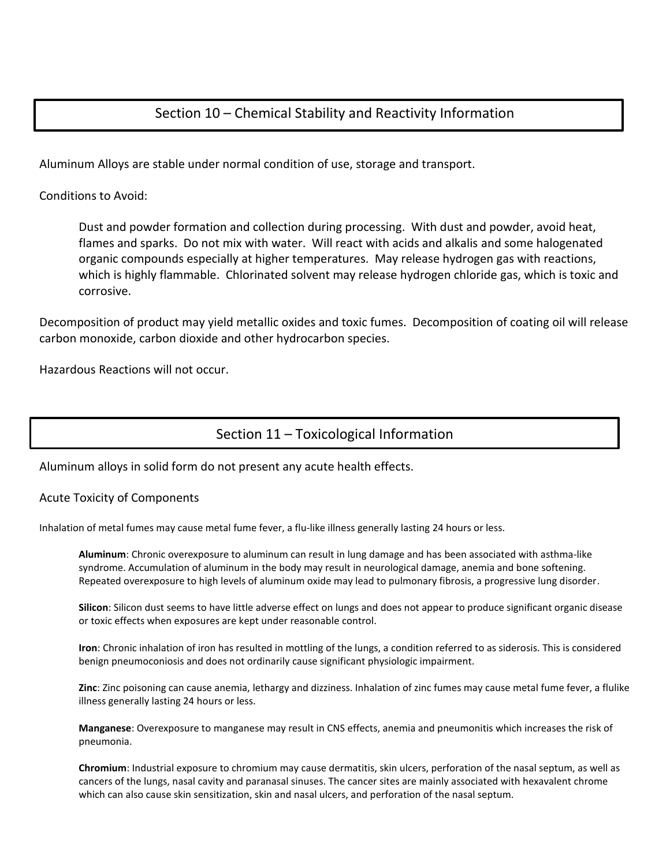## Section 10 – Chemical Stability and Reactivity Information

Aluminum Alloys are stable under normal condition of use, storage and transport.

Conditions to Avoid:

Dust and powder formation and collection during processing. With dust and powder, avoid heat, flames and sparks. Do not mix with water. Will react with acids and alkalis and some halogenated organic compounds especially at higher temperatures. May release hydrogen gas with reactions, which is highly flammable. Chlorinated solvent may release hydrogen chloride gas, which is toxic and corrosive.

Decomposition of product may yield metallic oxides and toxic fumes. Decomposition of coating oil will release carbon monoxide, carbon dioxide and other hydrocarbon species.

Hazardous Reactions will not occur.

## Section 11 – Toxicological Information

Aluminum alloys in solid form do not present any acute health effects.

#### Acute Toxicity of Components

Inhalation of metal fumes may cause metal fume fever, a flu-like illness generally lasting 24 hours or less.

**Aluminum**: Chronic overexposure to aluminum can result in lung damage and has been associated with asthma‐like syndrome. Accumulation of aluminum in the body may result in neurological damage, anemia and bone softening. Repeated overexposure to high levels of aluminum oxide may lead to pulmonary fibrosis, a progressive lung disorder.

**Silicon**: Silicon dust seems to have little adverse effect on lungs and does not appear to produce significant organic disease or toxic effects when exposures are kept under reasonable control.

**Iron**: Chronic inhalation of iron has resulted in mottling of the lungs, a condition referred to as siderosis. This is considered benign pneumoconiosis and does not ordinarily cause significant physiologic impairment.

**Zinc**: Zinc poisoning can cause anemia, lethargy and dizziness. Inhalation of zinc fumes may cause metal fume fever, a flulike illness generally lasting 24 hours or less.

**Manganese**: Overexposure to manganese may result in CNS effects, anemia and pneumonitis which increases the risk of pneumonia.

**Chromium**: Industrial exposure to chromium may cause dermatitis, skin ulcers, perforation of the nasal septum, as well as cancers of the lungs, nasal cavity and paranasal sinuses. The cancer sites are mainly associated with hexavalent chrome which can also cause skin sensitization, skin and nasal ulcers, and perforation of the nasal septum.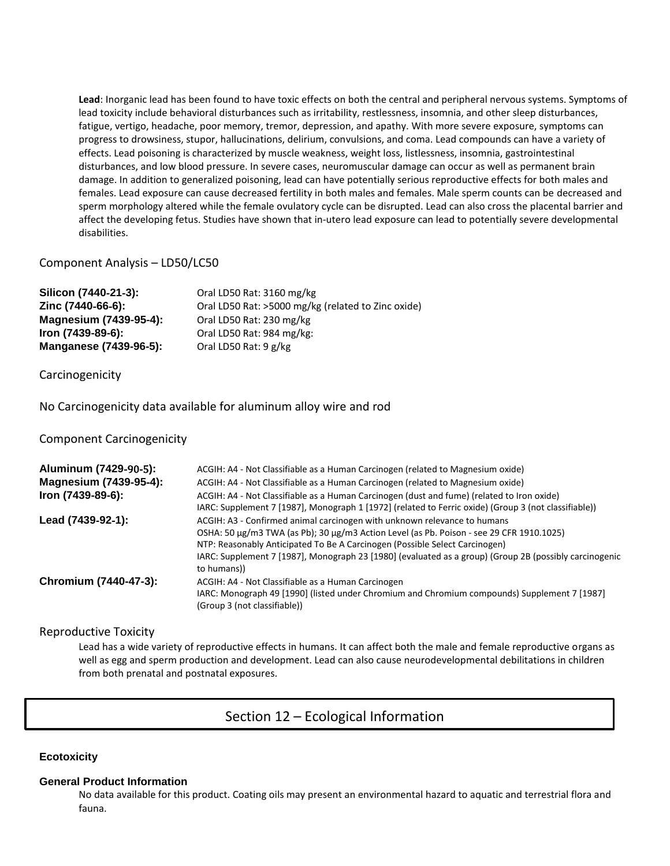**Lead**: Inorganic lead has been found to have toxic effects on both the central and peripheral nervous systems. Symptoms of lead toxicity include behavioral disturbances such as irritability, restlessness, insomnia, and other sleep disturbances, fatigue, vertigo, headache, poor memory, tremor, depression, and apathy. With more severe exposure, symptoms can progress to drowsiness, stupor, hallucinations, delirium, convulsions, and coma. Lead compounds can have a variety of effects. Lead poisoning is characterized by muscle weakness, weight loss, listlessness, insomnia, gastrointestinal disturbances, and low blood pressure. In severe cases, neuromuscular damage can occur as well as permanent brain damage. In addition to generalized poisoning, lead can have potentially serious reproductive effects for both males and females. Lead exposure can cause decreased fertility in both males and females. Male sperm counts can be decreased and sperm morphology altered while the female ovulatory cycle can be disrupted. Lead can also cross the placental barrier and affect the developing fetus. Studies have shown that in‐utero lead exposure can lead to potentially severe developmental disabilities.

#### Component Analysis – LD50/LC50

| Silicon (7440-21-3):   | Oral LD50 Rat: 3160 mg/kg                          |
|------------------------|----------------------------------------------------|
| Zinc (7440-66-6):      | Oral LD50 Rat: >5000 mg/kg (related to Zinc oxide) |
| Magnesium (7439-95-4): | Oral LD50 Rat: 230 mg/kg                           |
| Iron (7439-89-6):      | Oral LD50 Rat: 984 mg/kg:                          |
| Manganese (7439-96-5): | Oral LD50 Rat: 9 g/kg                              |

**Carcinogenicity** 

No Carcinogenicity data available for aluminum alloy wire and rod

Component Carcinogenicity

| Aluminum (7429-90-5):  | ACGIH: A4 - Not Classifiable as a Human Carcinogen (related to Magnesium oxide)                                                                                                                                                                                                                                                                                              |
|------------------------|------------------------------------------------------------------------------------------------------------------------------------------------------------------------------------------------------------------------------------------------------------------------------------------------------------------------------------------------------------------------------|
| Magnesium (7439-95-4): | ACGIH: A4 - Not Classifiable as a Human Carcinogen (related to Magnesium oxide)                                                                                                                                                                                                                                                                                              |
| Iron (7439-89-6):      | ACGIH: A4 - Not Classifiable as a Human Carcinogen (dust and fume) (related to Iron oxide)<br>IARC: Supplement 7 [1987], Monograph 1 [1972] (related to Ferric oxide) (Group 3 (not classifiable))                                                                                                                                                                           |
| Lead (7439-92-1):      | ACGIH: A3 - Confirmed animal carcinogen with unknown relevance to humans<br>OSHA: 50 μg/m3 TWA (as Pb); 30 μg/m3 Action Level (as Pb. Poison - see 29 CFR 1910.1025)<br>NTP: Reasonably Anticipated To Be A Carcinogen (Possible Select Carcinogen)<br>IARC: Supplement 7 [1987], Monograph 23 [1980] (evaluated as a group) (Group 2B (possibly carcinogenic<br>to humans)) |
| Chromium (7440-47-3):  | ACGIH: A4 - Not Classifiable as a Human Carcinogen<br>IARC: Monograph 49 [1990] (listed under Chromium and Chromium compounds) Supplement 7 [1987]<br>(Group 3 (not classifiable))                                                                                                                                                                                           |

Reproductive Toxicity

Lead has a wide variety of reproductive effects in humans. It can affect both the male and female reproductive organs as well as egg and sperm production and development. Lead can also cause neurodevelopmental debilitations in children from both prenatal and postnatal exposures.

### Section 12 – Ecological Information

#### **Ecotoxicity**

#### **General Product Information**

No data available for this product. Coating oils may present an environmental hazard to aquatic and terrestrial flora and fauna.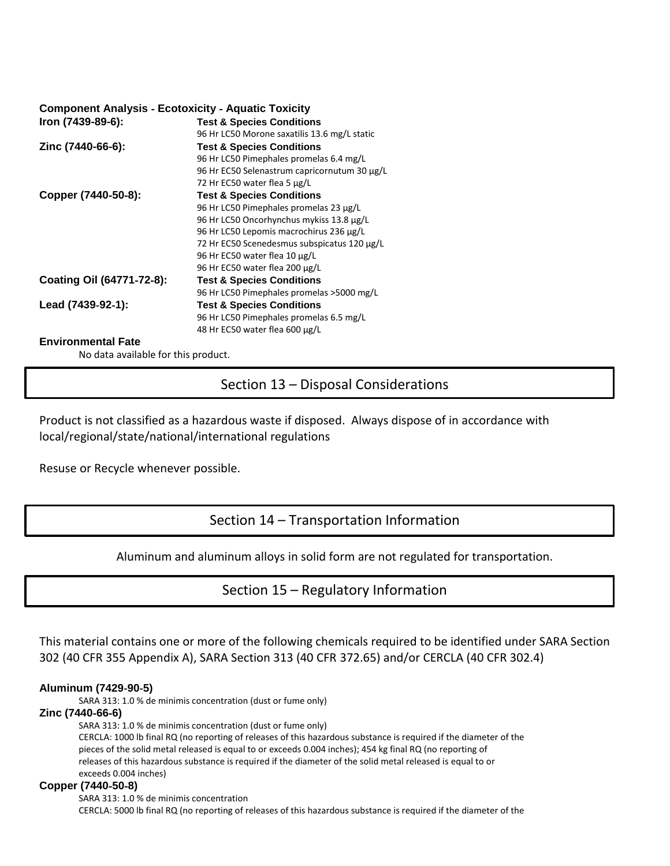#### **Component Analysis** ‐ **Ecotoxicity** ‐ **Aquatic Toxicity**

| Iron (7439-89-6):         | <b>Test &amp; Species Conditions</b>         |  |  |
|---------------------------|----------------------------------------------|--|--|
|                           | 96 Hr LC50 Morone saxatilis 13.6 mg/L static |  |  |
| Zinc (7440-66-6):         | <b>Test &amp; Species Conditions</b>         |  |  |
|                           | 96 Hr LC50 Pimephales promelas 6.4 mg/L      |  |  |
|                           | 96 Hr EC50 Selenastrum capricornutum 30 µg/L |  |  |
|                           | 72 Hr EC50 water flea 5 µg/L                 |  |  |
| Copper (7440-50-8):       | <b>Test &amp; Species Conditions</b>         |  |  |
|                           | 96 Hr LC50 Pimephales promelas 23 µg/L       |  |  |
|                           | 96 Hr LC50 Oncorhynchus mykiss 13.8 µg/L     |  |  |
|                           | 96 Hr LC50 Lepomis macrochirus 236 µg/L      |  |  |
|                           | 72 Hr EC50 Scenedesmus subspicatus 120 µg/L  |  |  |
|                           | 96 Hr EC50 water flea 10 µg/L                |  |  |
|                           | 96 Hr EC50 water flea 200 µg/L               |  |  |
| Coating Oil (64771-72-8): | <b>Test &amp; Species Conditions</b>         |  |  |
|                           | 96 Hr LC50 Pimephales promelas > 5000 mg/L   |  |  |
| Lead (7439-92-1):         | <b>Test &amp; Species Conditions</b>         |  |  |
|                           | 96 Hr LC50 Pimephales promelas 6.5 mg/L      |  |  |
|                           | 48 Hr EC50 water flea 600 µg/L               |  |  |

#### **Environmental Fate**

No data available for this product.

Section 13 – Disposal Considerations

Product is not classified as a hazardous waste if disposed. Always dispose of in accordance with local/regional/state/national/international regulations

Resuse or Recycle whenever possible.

### Section 14 – Transportation Information

Aluminum and aluminum alloys in solid form are not regulated for transportation.

### Section 15 – Regulatory Information

This material contains one or more of the following chemicals required to be identified under SARA Section 302 (40 CFR 355 Appendix A), SARA Section 313 (40 CFR 372.65) and/or CERCLA (40 CFR 302.4)

#### **Aluminum (7429**‐**90**‐**5)**

SARA 313: 1.0 % de minimis concentration (dust or fume only)

#### **Zinc (7440**‐**66**‐**6)**

SARA 313: 1.0 % de minimis concentration (dust or fume only) CERCLA: 1000 lb final RQ (no reporting of releases of this hazardous substance is required if the diameter of the pieces of the solid metal released is equal to or exceeds 0.004 inches); 454 kg final RQ (no reporting of releases of this hazardous substance is required if the diameter of the solid metal released is equal to or exceeds 0.004 inches)

#### **Copper (7440**‐**50**‐**8)**

SARA 313: 1.0 % de minimis concentration CERCLA: 5000 lb final RQ (no reporting of releases of this hazardous substance is required if the diameter of the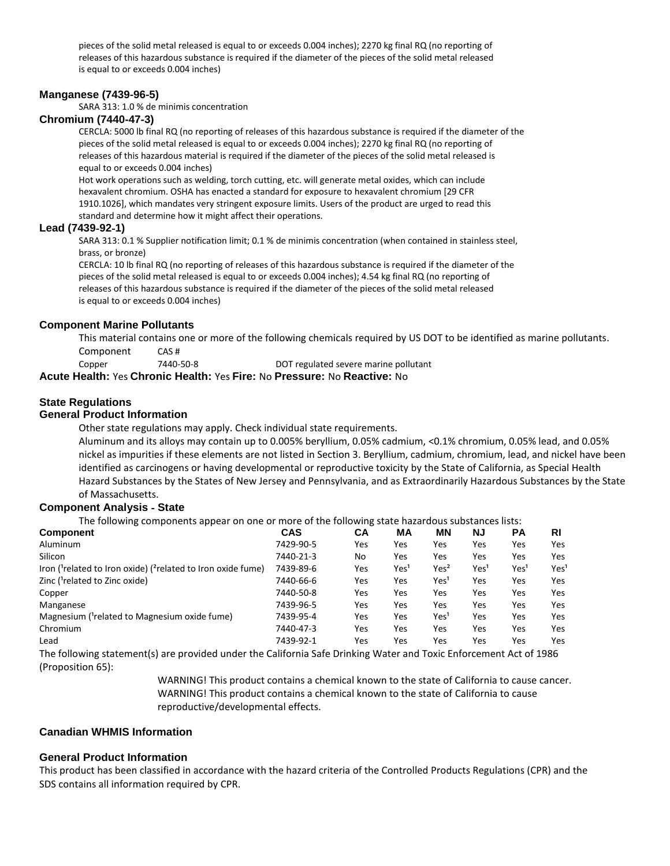pieces of the solid metal released is equal to or exceeds 0.004 inches); 2270 kg final RQ (no reporting of releases of this hazardous substance is required if the diameter of the pieces of the solid metal released is equal to or exceeds 0.004 inches)

#### **Manganese (7439**‐**96**‐**5)**

SARA 313: 1.0 % de minimis concentration

#### **Chromium (7440**‐**47**‐**3)**

CERCLA: 5000 lb final RQ (no reporting of releases of this hazardous substance is required if the diameter of the pieces of the solid metal released is equal to or exceeds 0.004 inches); 2270 kg final RQ (no reporting of releases of this hazardous material is required if the diameter of the pieces of the solid metal released is equal to or exceeds 0.004 inches)

Hot work operations such as welding, torch cutting, etc. will generate metal oxides, which can include hexavalent chromium. OSHA has enacted a standard for exposure to hexavalent chromium [29 CFR 1910.1026], which mandates very stringent exposure limits. Users of the product are urged to read this standard and determine how it might affect their operations.

#### **Lead (7439**‐**92**‐**1)**

SARA 313: 0.1 % Supplier notification limit; 0.1 % de minimis concentration (when contained in stainless steel, brass, or bronze)

CERCLA: 10 lb final RQ (no reporting of releases of this hazardous substance is required if the diameter of the pieces of the solid metal released is equal to or exceeds 0.004 inches); 4.54 kg final RQ (no reporting of releases of this hazardous substance is required if the diameter of the pieces of the solid metal released is equal to or exceeds 0.004 inches)

#### **Component Marine Pollutants**

This material contains one or more of the following chemicals required by US DOT to be identified as marine pollutants. Component CAS #

Copper 7440‐50‐8 DOT regulated severe marine pollutant **Acute Health:** Yes **Chronic Health:** Yes **Fire:** No **Pressure:** No **Reactive:** No

#### **State Regulations**

#### **General Product Information**

Other state regulations may apply. Check individual state requirements.

Aluminum and its alloys may contain up to 0.005% beryllium, 0.05% cadmium, <0.1% chromium, 0.05% lead, and 0.05% nickel as impurities if these elements are not listed in Section 3. Beryllium, cadmium, chromium, lead, and nickel have been identified as carcinogens or having developmental or reproductive toxicity by the State of California, as Special Health Hazard Substances by the States of New Jersey and Pennsylvania, and as Extraordinarily Hazardous Substances by the State of Massachusetts.

#### **Component Analysis** ‐ **State**

The following components appear on one or more of the following state hazardous substances lists:

| <b>Component</b>                                                    | <b>CAS</b> | CА  | MА               | ΜN                       | ΝJ               | РA               | RI                          |
|---------------------------------------------------------------------|------------|-----|------------------|--------------------------|------------------|------------------|-----------------------------|
| Aluminum                                                            | 7429-90-5  | Yes | Yes              | Yes                      | Yes              | Yes              | Yes                         |
| Silicon                                                             | 7440-21-3  | No  | Yes              | Yes                      | Yes              | Yes              | Yes                         |
| Iron ( $1$ related to Iron oxide) ( $2$ related to Iron oxide fume) | 7439-89-6  | Yes | Yes <sup>1</sup> | Yes <sup>2</sup>         | Yes <sup>1</sup> | Yes <sup>1</sup> | Yes <sup>1</sup>            |
| Zinc ( <sup>1</sup> related to Zinc oxide)                          | 7440-66-6  | Yes | Yes              | Yes <sup>1</sup>         | Yes              | Yes              | Yes                         |
| Copper                                                              | 7440-50-8  | Yes | Yes              | Yes                      | Yes              | Yes              | Yes                         |
| Manganese                                                           | 7439-96-5  | Yes | Yes              | Yes                      | Yes              | Yes              | Yes                         |
| Magnesium ( <sup>1</sup> related to Magnesium oxide fume)           | 7439-95-4  | Yes | Yes              | Yes <sup>1</sup>         | Yes              | Yes              | Yes                         |
| Chromium                                                            | 7440-47-3  | Yes | Yes              | Yes                      | Yes              | Yes              | Yes                         |
| Lead                                                                | 7439-92-1  | Yes | Yes              | Yes                      | Yes              | Yes              | Yes                         |
| $\cdots$<br>.                                                       |            |     |                  | $\overline{\phantom{0}}$ |                  |                  | $\sim$ $\sim$ $\sim$ $\sim$ |

The following statement(s) are provided under the California Safe Drinking Water and Toxic Enforcement Act of 1986 (Proposition 65):

> WARNING! This product contains a chemical known to the state of California to cause cancer. WARNING! This product contains a chemical known to the state of California to cause reproductive/developmental effects.

#### **Canadian WHMIS Information**

#### **General Product Information**

This product has been classified in accordance with the hazard criteria of the Controlled Products Regulations (CPR) and the SDS contains all information required by CPR.